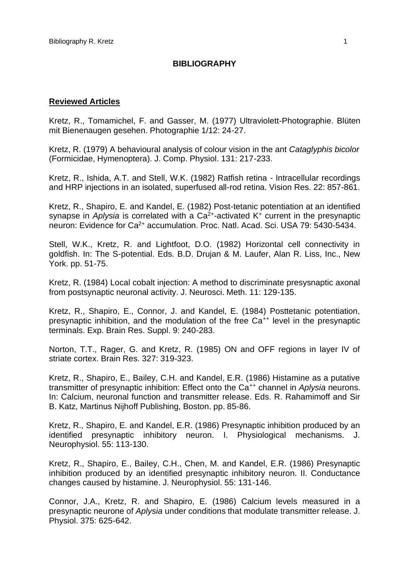# **BIBLIOGRAPHY**

## **Reviewed Articles**

Kretz, R., Tomamichel, F. and Gasser, M. (1977) Ultraviolett-Photographie. Blüten mit Bienenaugen gesehen. Photographie 1/12: 24-27.

Kretz, R. (1979) A behavioural analysis of colour vision in the ant *Cataglyphis bicolor*  (Formicidae, Hymenoptera). J. Comp. Physiol. 131: 217-233.

Kretz, R., Ishida, A.T. and Stell, W.K. (1982) Ratfish retina - Intracellular recordings and HRP injections in an isolated, superfused all-rod retina. Vision Res. 22: 857-861.

Kretz, R., Shapiro, E. and Kandel, E. (1982) Post-tetanic potentiation at an identified synapse in *Aplysia* is correlated with a Ca<sup>2+</sup>-activated K<sup>+</sup> current in the presynaptic neuron: Evidence for Ca<sup>2+</sup> accumulation. Proc. Natl. Acad. Sci. USA 79: 5430-5434.

Stell, W.K., Kretz, R. and Lightfoot, D.O. (1982) Horizontal cell connectivity in goldfish. In: The S-potential. Eds. B.D. Drujan & M. Laufer, Alan R. Liss, Inc., New York. pp. 51-75.

Kretz, R. (1984) Local cobalt injection: A method to discriminate presysnaptic axonal from postsynaptic neuronal activity. J. Neurosci. Meth. 11: 129-135.

Kretz, R., Shapiro, E., Connor, J. and Kandel, E. (1984) Posttetanic potentiation, presynaptic inhibition, and the modulation of the free Ca<sup>++</sup> level in the presynaptic terminals. Exp. Brain Res. Suppl. 9: 240-283.

Norton, T.T., Rager, G. and Kretz, R. (1985) ON and OFF regions in layer IV of striate cortex. Brain Res. 327: 319-323.

Kretz, R., Shapiro, E., Bailey, C.H. and Kandel, E.R. (1986) Histamine as a putative transmitter of presynaptic inhibition: Effect onto the Ca++ channel in *Aplysia* neurons. In: Calcium, neuronal function and transmitter release. Eds. R. Rahamimoff and Sir B. Katz, Martinus Nijhoff Publishing, Boston. pp. 85-86.

Kretz, R., Shapiro, E. and Kandel, E.R. (1986) Presynaptic inhibition produced by an identified presynaptic inhibitory neuron. I. Physiological mechanisms. J. Neurophysiol. 55: 113-130.

Kretz, R., Shapiro, E., Bailey, C.H., Chen, M. and Kandel, E.R. (1986) Presynaptic inhibition produced by an identified presynaptic inhibitory neuron. II. Conductance changes caused by histamine. J. Neurophysiol. 55: 131-146.

Connor, J.A., Kretz, R. and Shapiro, E. (1986) Calcium levels measured in a presynaptic neurone of *Aplysia* under conditions that modulate transmitter release. J. Physiol. 375: 625-642.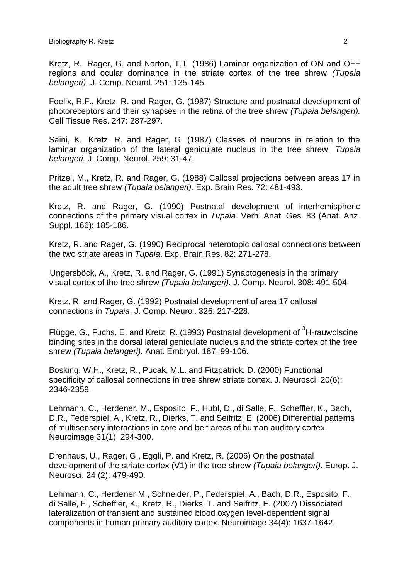Kretz, R., Rager, G. and Norton, T.T. (1986) Laminar organization of ON and OFF regions and ocular dominance in the striate cortex of the tree shrew *(Tupaia belangeri).* J. Comp. Neurol. 251: 135-145.

Foelix, R.F., Kretz, R. and Rager, G. (1987) Structure and postnatal development of photoreceptors and their synapses in the retina of the tree shrew *(Tupaia belangeri).* Cell Tissue Res. 247: 287-297.

Saini, K., Kretz, R. and Rager, G. (1987) Classes of neurons in relation to the laminar organization of the lateral geniculate nucleus in the tree shrew, *Tupaia belangeri.* J. Comp. Neurol. 259: 31-47.

Pritzel, M., Kretz, R. and Rager, G. (1988) Callosal projections between areas 17 in the adult tree shrew *(Tupaia belangeri).* Exp. Brain Res. 72: 481-493.

Kretz, R. and Rager, G. (1990) Postnatal development of interhemispheric connections of the primary visual cortex in *Tupaia*. Verh. Anat. Ges. 83 (Anat. Anz. Suppl. 166): 185-186.

Kretz, R. and Rager, G. (1990) Reciprocal heterotopic callosal connections between the two striate areas in *Tupaia*. Exp. Brain Res. 82: 271-278.

Ungersböck, A., Kretz, R. and Rager, G. (1991) Synaptogenesis in the primary visual cortex of the tree shrew *(Tupaia belangeri).* J. Comp. Neurol. 308: 491-504.

Kretz, R. and Rager, G. (1992) Postnatal development of area 17 callosal connections in *Tupaia*. J. Comp. Neurol. 326: 217-228.

Flügge, G., Fuchs, E. and Kretz, R. (1993) Postnatal development of  ${}^{3}$ H-rauwolscine binding sites in the dorsal lateral geniculate nucleus and the striate cortex of the tree shrew *(Tupaia belangeri).* Anat. Embryol. 187: 99-106.

Bosking, W.H., Kretz, R., Pucak, M.L. and Fitzpatrick, D. (2000) Functional specificity of callosal connections in tree shrew striate cortex. J. Neurosci. 20(6): 2346-2359.

Lehmann, C., Herdener, M., Esposito, F., Hubl, D., di Salle, F., Scheffler, K., Bach, D.R., Federspiel, A., Kretz, R., Dierks, T. and Seifritz, E. (2006) Differential patterns of multisensory interactions in core and belt areas of human auditory cortex. Neuroimage 31(1): 294-300.

Drenhaus, U., Rager, G., Eggli, P. and Kretz, R. (2006) On the postnatal development of the striate cortex (V1) in the tree shrew *(Tupaia belangeri)*. Europ. J. Neurosci. 24 (2): 479-490.

Lehmann, C., Herdener M., Schneider, P., Federspiel, A., Bach, D.R., Esposito, F., di Salle, F., Scheffler, K., Kretz, R., Dierks, T. and Seifritz, E. (2007) Dissociated lateralization of transient and sustained blood oxygen level-dependent signal components in human primary auditory cortex. Neuroimage 34(4): 1637-1642.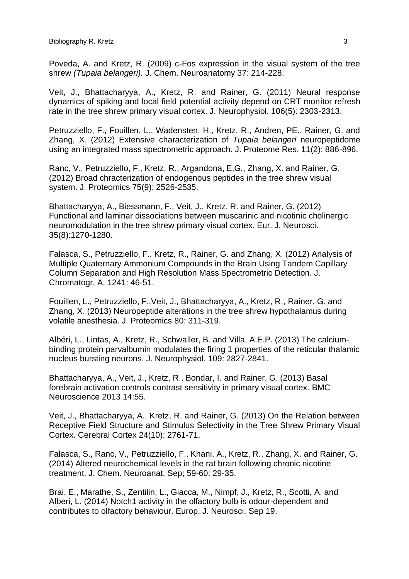Poveda, A. and Kretz, R. (2009) c-Fos expression in the visual system of the tree shrew *(Tupaia belangeri).* J. Chem. Neuroanatomy 37: 214-228.

Veit, J., Bhattacharyya, A., Kretz, R. and Rainer, G. (2011) Neural response dynamics of spiking and local field potential activity depend on CRT monitor refresh rate in the tree shrew primary visual cortex. J. Neurophysiol. 106(5): 2303-2313.

Petruzziello, F., Fouillen, L., Wadensten, H., Kretz, R., Andren, PE., Rainer, G. and Zhang, X. (2012) Extensive characterization of *Tupaia belangeri* neuropeptidome using an integrated mass spectrometric approach. J. Proteome Res. 11(2): 886-896.

Ranc, V., Petruzziello, F., Kretz, R., Argandona, E.G., Zhang, X. and Rainer, G. (2012) Broad chracterization of endogenous peptides in the tree shrew visual system. J. Proteomics 75(9): 2526-2535.

Bhattacharyya, A., Biessmann, F., Veit, J., Kretz, R. and Rainer, G. (2012) Functional and laminar dissociations between muscarinic and nicotinic cholinergic neuromodulation in the tree shrew primary visual cortex. Eur. J. Neurosci. 35(8):1270-1280.

Falasca, S., Petruzziello, F., Kretz, R., Rainer, G. and Zhang, X. (2012) Analysis of Multiple Quaternary Ammonium Compounds in the Brain Using Tandem Capillary Column Separation and High Resolution Mass Spectrometric Detection. J. Chromatogr. A. 1241: 46-51.

Fouillen, L., Petruzziello, F.,Veit, J., Bhattacharyya, A., Kretz, R., Rainer, G. and Zhang, X. (2013) Neuropeptide alterations in the tree shrew hypothalamus during volatile anesthesia. J. Proteomics 80: 311-319.

Albéri, L., Lintas, A., Kretz, R., Schwaller, B. and Villa, A.E.P. (2013) The calciumbinding protein parvalbumin modulates the firing 1 properties of the reticular thalamic nucleus bursting neurons. J. Neurophysiol. 109: 2827-2841.

Bhattacharyya, A., Veit, J., Kretz, R., Bondar, I. and Rainer, G. (2013) Basal forebrain activation controls contrast sensitivity in primary visual cortex. BMC Neuroscience 2013 14:55.

Veit, J., Bhattacharyya, A., Kretz, R. and Rainer, G. (2013) On the Relation between Receptive Field Structure and Stimulus Selectivity in the Tree Shrew Primary Visual Cortex. Cerebral Cortex 24(10): 2761-71.

Falasca, S., Ranc, V., Petruzziello, F., Khani, A., Kretz, R., Zhang, X. and Rainer, G. (2014) Altered neurochemical levels in the rat brain following chronic nicotine treatment. J. Chem. Neuroanat. Sep; 59-60: 29-35.

Brai, E., Marathe, S., Zentilin, L., Giacca, M., Nimpf, J., Kretz, R., Scotti, A. and Alberi, L. (2014) Notch1 activity in the olfactory bulb is odour-dependent and contributes to olfactory behaviour. Europ. J. Neurosci. Sep 19.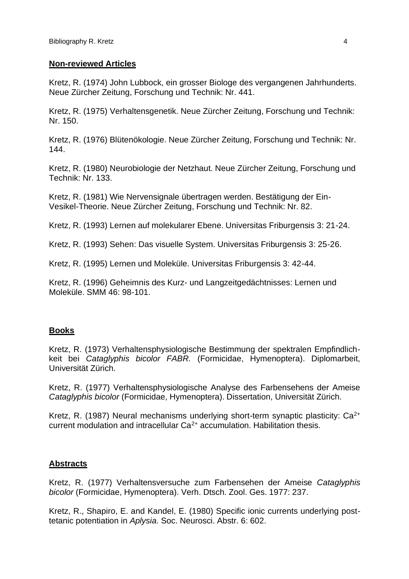# **Non-reviewed Articles**

Kretz, R. (1974) John Lubbock, ein grosser Biologe des vergangenen Jahrhunderts. Neue Zürcher Zeitung, Forschung und Technik: Nr. 441.

Kretz, R. (1975) Verhaltensgenetik. Neue Zürcher Zeitung, Forschung und Technik: Nr. 150.

Kretz, R. (1976) Blütenökologie. Neue Zürcher Zeitung, Forschung und Technik: Nr. 144.

Kretz, R. (1980) Neurobiologie der Netzhaut. Neue Zürcher Zeitung, Forschung und Technik: Nr. 133.

Kretz, R. (1981) Wie Nervensignale übertragen werden. Bestätigung der Ein-Vesikel-Theorie. Neue Zürcher Zeitung, Forschung und Technik: Nr. 82.

Kretz, R. (1993) Lernen auf molekularer Ebene. Universitas Friburgensis 3: 21-24.

Kretz, R. (1993) Sehen: Das visuelle System. Universitas Friburgensis 3: 25-26.

Kretz, R. (1995) Lernen und Moleküle. Universitas Friburgensis 3: 42-44.

Kretz, R. (1996) Geheimnis des Kurz- und Langzeitgedächtnisses: Lernen und Moleküle. SMM 46: 98-101.

# **Books**

Kretz, R. (1973) Verhaltensphysiologische Bestimmung der spektralen Empfindlichkeit bei *Cataglyphis bicolor FABR.* (Formicidae, Hymenoptera). Diplomarbeit, Universität Zürich.

Kretz, R. (1977) Verhaltensphysiologische Analyse des Farbensehens der Ameise *Cataglyphis bicolor* (Formicidae, Hymenoptera). Dissertation, Universität Zürich.

Kretz, R. (1987) Neural mechanisms underlying short-term synaptic plasticity: Ca<sup>2+</sup> current modulation and intracellular  $Ca<sup>2+</sup>$  accumulation. Habilitation thesis.

# **Abstracts**

Kretz, R. (1977) Verhaltensversuche zum Farbensehen der Ameise *Cataglyphis bicolor* (Formicidae, Hymenoptera). Verh. Dtsch. Zool. Ges. 1977: 237.

Kretz, R., Shapiro, E. and Kandel, E. (1980) Specific ionic currents underlying posttetanic potentiation in *Aplysia.* Soc. Neurosci. Abstr. 6: 602.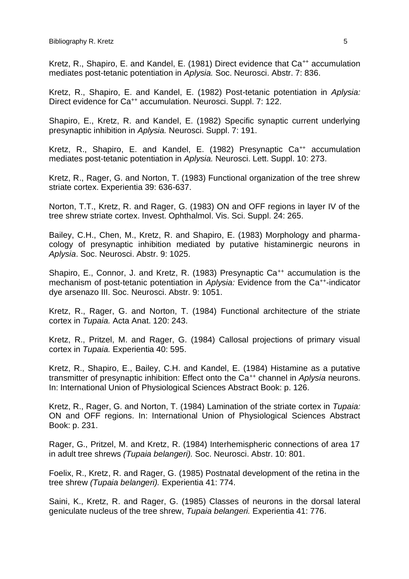Kretz, R., Shapiro, E. and Kandel, E. (1981) Direct evidence that Ca<sup>++</sup> accumulation mediates post-tetanic potentiation in *Aplysia.* Soc. Neurosci. Abstr. 7: 836.

Kretz, R., Shapiro, E. and Kandel, E. (1982) Post-tetanic potentiation in *Aplysia:*  Direct evidence for Ca<sup>++</sup> accumulation. Neurosci. Suppl. 7: 122.

Shapiro, E., Kretz, R. and Kandel, E. (1982) Specific synaptic current underlying presynaptic inhibition in *Aplysia.* Neurosci. Suppl. 7: 191.

Kretz, R., Shapiro, E. and Kandel, E. (1982) Presynaptic Ca<sup>++</sup> accumulation mediates post-tetanic potentiation in *Aplysia.* Neurosci. Lett. Suppl. 10: 273.

Kretz, R., Rager, G. and Norton, T. (1983) Functional organization of the tree shrew striate cortex. Experientia 39: 636-637.

Norton, T.T., Kretz, R. and Rager, G. (1983) ON and OFF regions in layer IV of the tree shrew striate cortex. Invest. Ophthalmol. Vis. Sci. Suppl. 24: 265.

Bailey, C.H., Chen, M., Kretz, R. and Shapiro, E. (1983) Morphology and pharmacology of presynaptic inhibition mediated by putative histaminergic neurons in *Aplysia*. Soc. Neurosci. Abstr. 9: 1025.

Shapiro, E., Connor, J. and Kretz, R. (1983) Presynaptic Ca<sup>++</sup> accumulation is the mechanism of post-tetanic potentiation in Aplysia: Evidence from the Ca<sup>++</sup>-indicator dye arsenazo III. Soc. Neurosci. Abstr. 9: 1051.

Kretz, R., Rager, G. and Norton, T. (1984) Functional architecture of the striate cortex in *Tupaia.* Acta Anat. 120: 243.

Kretz, R., Pritzel, M. and Rager, G. (1984) Callosal projections of primary visual cortex in *Tupaia.* Experientia 40: 595.

Kretz, R., Shapiro, E., Bailey, C.H. and Kandel, E. (1984) Histamine as a putative transmitter of presynaptic inhibition: Effect onto the Ca<sup>++</sup> channel in *Aplysia* neurons. In: International Union of Physiological Sciences Abstract Book: p. 126.

Kretz, R., Rager, G. and Norton, T. (1984) Lamination of the striate cortex in *Tupaia:*  ON and OFF regions. In: International Union of Physiological Sciences Abstract Book: p. 231.

Rager, G., Pritzel, M. and Kretz, R. (1984) Interhemispheric connections of area 17 in adult tree shrews *(Tupaia belangeri).* Soc. Neurosci. Abstr. 10: 801.

Foelix, R., Kretz, R. and Rager, G. (1985) Postnatal development of the retina in the tree shrew *(Tupaia belangeri).* Experientia 41: 774.

Saini, K., Kretz, R. and Rager, G. (1985) Classes of neurons in the dorsal lateral geniculate nucleus of the tree shrew, *Tupaia belangeri.* Experientia 41: 776.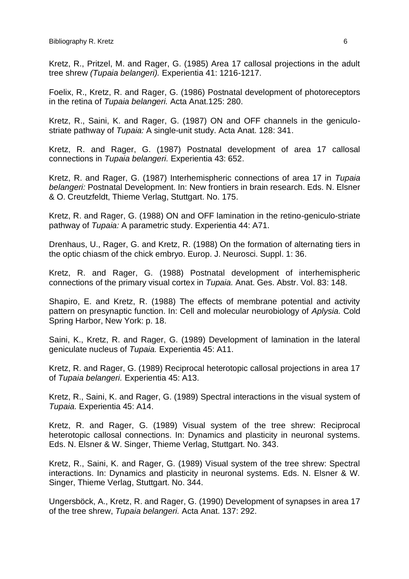Kretz, R., Pritzel, M. and Rager, G. (1985) Area 17 callosal projections in the adult tree shrew *(Tupaia belangeri).* Experientia 41: 1216-1217.

Foelix, R., Kretz, R. and Rager, G. (1986) Postnatal development of photoreceptors in the retina of *Tupaia belangeri.* Acta Anat.125: 280.

Kretz, R., Saini, K. and Rager, G. (1987) ON and OFF channels in the geniculostriate pathway of *Tupaia:* A single-unit study. Acta Anat. 128: 341.

Kretz, R. and Rager, G. (1987) Postnatal development of area 17 callosal connections in *Tupaia belangeri.* Experientia 43: 652.

Kretz, R. and Rager, G. (1987) Interhemispheric connections of area 17 in *Tupaia belangeri:* Postnatal Development. In: New frontiers in brain research. Eds. N. Elsner & O. Creutzfeldt, Thieme Verlag, Stuttgart. No. 175.

Kretz, R. and Rager, G. (1988) ON and OFF lamination in the retino-geniculo-striate pathway of *Tupaia:* A parametric study. Experientia 44: A71.

Drenhaus, U., Rager, G. and Kretz, R. (1988) On the formation of alternating tiers in the optic chiasm of the chick embryo. Europ. J. Neurosci. Suppl. 1: 36.

Kretz, R. and Rager, G. (1988) Postnatal development of interhemispheric connections of the primary visual cortex in *Tupaia.* Anat. Ges. Abstr. Vol. 83: 148.

Shapiro, E. and Kretz, R. (1988) The effects of membrane potential and activity pattern on presynaptic function. In: Cell and molecular neurobiology of *Aplysia.* Cold Spring Harbor, New York: p. 18.

Saini, K., Kretz, R. and Rager, G. (1989) Development of lamination in the lateral geniculate nucleus of *Tupaia.* Experientia 45: A11.

Kretz, R. and Rager, G. (1989) Reciprocal heterotopic callosal projections in area 17 of *Tupaia belangeri.* Experientia 45: A13.

Kretz, R., Saini, K. and Rager, G. (1989) Spectral interactions in the visual system of *Tupaia.* Experientia 45: A14.

Kretz, R. and Rager, G. (1989) Visual system of the tree shrew: Reciprocal heterotopic callosal connections. In: Dynamics and plasticity in neuronal systems. Eds. N. Elsner & W. Singer, Thieme Verlag, Stuttgart. No. 343.

Kretz, R., Saini, K. and Rager, G. (1989) Visual system of the tree shrew: Spectral interactions. In: Dynamics and plasticity in neuronal systems. Eds. N. Elsner & W. Singer, Thieme Verlag, Stuttgart. No. 344.

Ungersböck, A., Kretz, R. and Rager, G. (1990) Development of synapses in area 17 of the tree shrew, *Tupaia belangeri.* Acta Anat. 137: 292.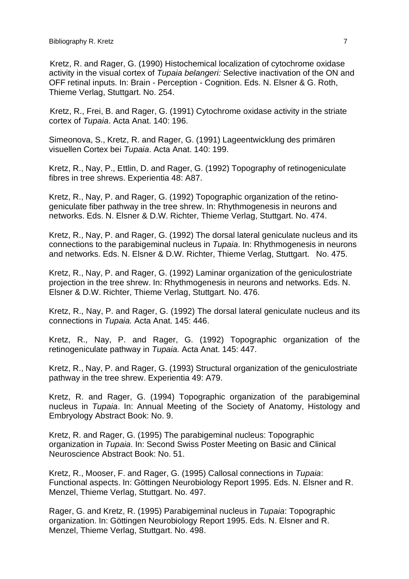Kretz, R. and Rager, G. (1990) Histochemical localization of cytochrome oxidase activity in the visual cortex of *Tupaia belangeri:* Selective inactivation of the ON and OFF retinal inputs. In: Brain - Perception - Cognition. Eds. N. Elsner & G. Roth, Thieme Verlag, Stuttgart. No. 254.

Kretz, R., Frei, B. and Rager, G. (1991) Cytochrome oxidase activity in the striate cortex of *Tupaia*. Acta Anat. 140: 196.

Simeonova, S., Kretz, R. and Rager, G. (1991) Lageentwicklung des primären visuellen Cortex bei *Tupaia*. Acta Anat. 140: 199.

Kretz, R., Nay, P., Ettlin, D. and Rager, G. (1992) Topography of retinogeniculate fibres in tree shrews. Experientia 48: A87.

Kretz, R., Nay, P. and Rager, G. (1992) Topographic organization of the retinogeniculate fiber pathway in the tree shrew. In: Rhythmogenesis in neurons and networks. Eds. N. Elsner & D.W. Richter, Thieme Verlag, Stuttgart. No. 474.

Kretz, R., Nay, P. and Rager, G. (1992) The dorsal lateral geniculate nucleus and its connections to the parabigeminal nucleus in *Tupaia*. In: Rhythmogenesis in neurons and networks. Eds. N. Elsner & D.W. Richter, Thieme Verlag, Stuttgart. No. 475.

Kretz, R., Nay, P. and Rager, G. (1992) Laminar organization of the geniculostriate projection in the tree shrew. In: Rhythmogenesis in neurons and networks. Eds. N. Elsner & D.W. Richter, Thieme Verlag, Stuttgart. No. 476.

Kretz, R., Nay, P. and Rager, G. (1992) The dorsal lateral geniculate nucleus and its connections in *Tupaia.* Acta Anat. 145: 446.

Kretz, R., Nay, P. and Rager, G. (1992) Topographic organization of the retinogeniculate pathway in *Tupaia.* Acta Anat. 145: 447.

Kretz, R., Nay, P. and Rager, G. (1993) Structural organization of the geniculostriate pathway in the tree shrew. Experientia 49: A79.

Kretz, R. and Rager, G. (1994) Topographic organization of the parabigeminal nucleus in *Tupaia*. In: Annual Meeting of the Society of Anatomy, Histology and Embryology Abstract Book: No. 9.

Kretz, R. and Rager, G. (1995) The parabigeminal nucleus: Topographic organization in *Tupaia*. In: Second Swiss Poster Meeting on Basic and Clinical Neuroscience Abstract Book: No. 51.

Kretz, R., Mooser, F. and Rager, G. (1995) Callosal connections in *Tupaia*: Functional aspects. In: Göttingen Neurobiology Report 1995. Eds. N. Elsner and R. Menzel, Thieme Verlag, Stuttgart. No. 497.

Rager, G. and Kretz, R. (1995) Parabigeminal nucleus in *Tupaia*: Topographic organization. In: Göttingen Neurobiology Report 1995. Eds. N. Elsner and R. Menzel, Thieme Verlag, Stuttgart. No. 498.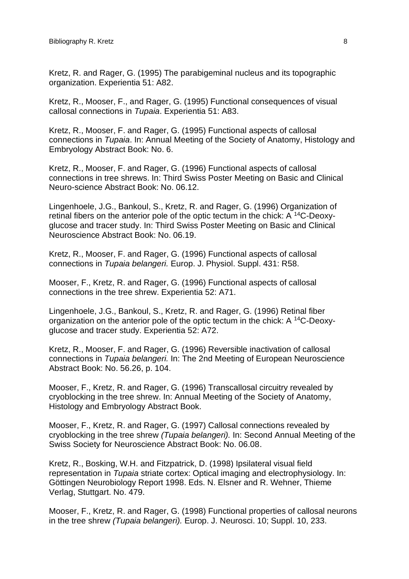Kretz, R. and Rager, G. (1995) The parabigeminal nucleus and its topographic organization. Experientia 51: A82.

Kretz, R., Mooser, F., and Rager, G. (1995) Functional consequences of visual callosal connections in *Tupaia*. Experientia 51: A83.

Kretz, R., Mooser, F. and Rager, G. (1995) Functional aspects of callosal connections in *Tupaia*. In: Annual Meeting of the Society of Anatomy, Histology and Embryology Abstract Book: No. 6.

Kretz, R., Mooser, F. and Rager, G. (1996) Functional aspects of callosal connections in tree shrews. In: Third Swiss Poster Meeting on Basic and Clinical Neuro-science Abstract Book: No. 06.12.

Lingenhoele, J.G., Bankoul, S., Kretz, R. and Rager, G. (1996) Organization of retinal fibers on the anterior pole of the optic tectum in the chick: A 14C-Deoxyglucose and tracer study. In: Third Swiss Poster Meeting on Basic and Clinical Neuroscience Abstract Book: No. 06.19.

Kretz, R., Mooser, F. and Rager, G. (1996) Functional aspects of callosal connections in *Tupaia belangeri.* Europ. J. Physiol. Suppl. 431: R58.

Mooser, F., Kretz, R. and Rager, G. (1996) Functional aspects of callosal connections in the tree shrew. Experientia 52: A71.

Lingenhoele, J.G., Bankoul, S., Kretz, R. and Rager, G. (1996) Retinal fiber organization on the anterior pole of the optic tectum in the chick: A 14C-Deoxyglucose and tracer study. Experientia 52: A72.

Kretz, R., Mooser, F. and Rager, G. (1996) Reversible inactivation of callosal connections in *Tupaia belangeri.* In: The 2nd Meeting of European Neuroscience Abstract Book: No. 56.26, p. 104.

Mooser, F., Kretz, R. and Rager, G. (1996) Transcallosal circuitry revealed by cryoblocking in the tree shrew. In: Annual Meeting of the Society of Anatomy, Histology and Embryology Abstract Book.

Mooser, F., Kretz, R. and Rager, G. (1997) Callosal connections revealed by cryoblocking in the tree shrew *(Tupaia belangeri).* In: Second Annual Meeting of the Swiss Society for Neuroscience Abstract Book: No. 06.08.

Kretz, R., Bosking, W.H. and Fitzpatrick, D. (1998) Ipsilateral visual field representation in *Tupaia* striate cortex: Optical imaging and electrophysiology. In: Göttingen Neurobiology Report 1998. Eds. N. Elsner and R. Wehner, Thieme Verlag, Stuttgart. No. 479.

Mooser, F., Kretz, R. and Rager, G. (1998) Functional properties of callosal neurons in the tree shrew *(Tupaia belangeri).* Europ. J. Neurosci. 10; Suppl. 10, 233.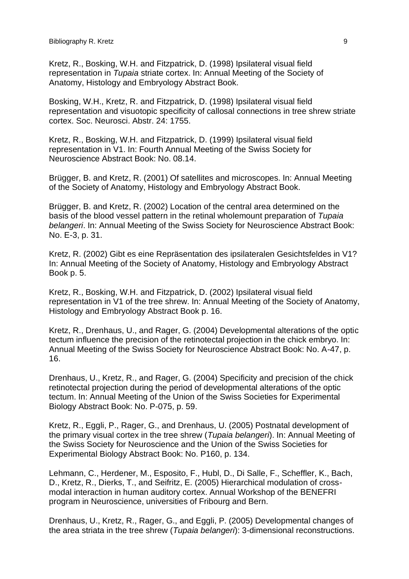Kretz, R., Bosking, W.H. and Fitzpatrick, D. (1998) Ipsilateral visual field representation in *Tupaia* striate cortex. In: Annual Meeting of the Society of Anatomy, Histology and Embryology Abstract Book.

Bosking, W.H., Kretz, R. and Fitzpatrick, D. (1998) Ipsilateral visual field representation and visuotopic specificity of callosal connections in tree shrew striate cortex. Soc. Neurosci. Abstr. 24: 1755.

Kretz, R., Bosking, W.H. and Fitzpatrick, D. (1999) Ipsilateral visual field representation in V1. In: Fourth Annual Meeting of the Swiss Society for Neuroscience Abstract Book: No. 08.14.

Brügger, B. and Kretz, R. (2001) Of satellites and microscopes. In: Annual Meeting of the Society of Anatomy, Histology and Embryology Abstract Book.

Brügger, B. and Kretz, R. (2002) Location of the central area determined on the basis of the blood vessel pattern in the retinal wholemount preparation of *Tupaia belangeri*. In: Annual Meeting of the Swiss Society for Neuroscience Abstract Book: No. E-3, p. 31.

Kretz, R. (2002) Gibt es eine Repräsentation des ipsilateralen Gesichtsfeldes in V1? In: Annual Meeting of the Society of Anatomy, Histology and Embryology Abstract Book p. 5.

Kretz, R., Bosking, W.H. and Fitzpatrick, D. (2002) Ipsilateral visual field representation in V1 of the tree shrew. In: Annual Meeting of the Society of Anatomy, Histology and Embryology Abstract Book p. 16.

Kretz, R., Drenhaus, U., and Rager, G. (2004) Developmental alterations of the optic tectum influence the precision of the retinotectal projection in the chick embryo. In: Annual Meeting of the Swiss Society for Neuroscience Abstract Book: No. A-47, p. 16.

Drenhaus, U., Kretz, R., and Rager, G. (2004) Specificity and precision of the chick retinotectal projection during the period of developmental alterations of the optic tectum. In: Annual Meeting of the Union of the Swiss Societies for Experimental Biology Abstract Book: No. P-075, p. 59.

Kretz, R., Eggli, P., Rager, G., and Drenhaus, U. (2005) Postnatal development of the primary visual cortex in the tree shrew (*Tupaia belangeri*). In: Annual Meeting of the Swiss Society for Neuroscience and the Union of the Swiss Societies for Experimental Biology Abstract Book: No. P160, p. 134.

Lehmann, C., Herdener, M., Esposito, F., Hubl, D., Di Salle, F., Scheffler, K., Bach, D., Kretz, R., Dierks, T., and Seifritz, E. (2005) Hierarchical modulation of crossmodal interaction in human auditory cortex. Annual Workshop of the BENEFRI program in Neuroscience, universities of Fribourg and Bern.

Drenhaus, U., Kretz, R., Rager, G., and Eggli, P. (2005) Developmental changes of the area striata in the tree shrew (*Tupaia belangeri*): 3-dimensional reconstructions.